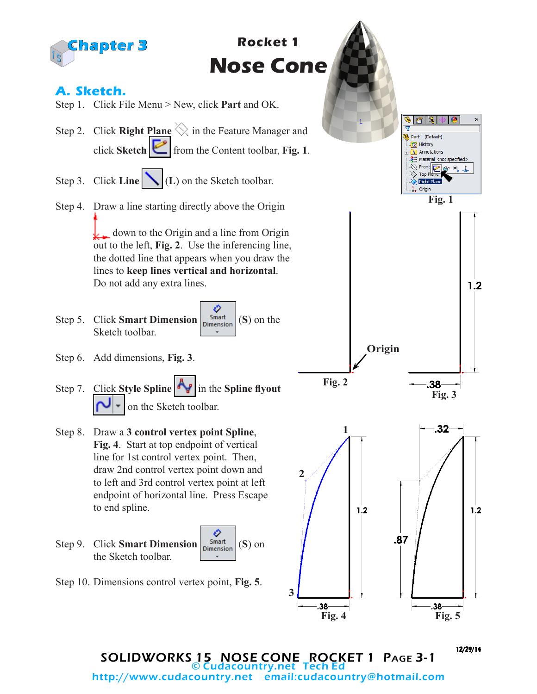

SOLIDWORKS 15 NOSE CONE ROCKET 1 Page 3-1 © Cudacountry.net Tech Ed email:cudacountry@hotmail.com

12/29/14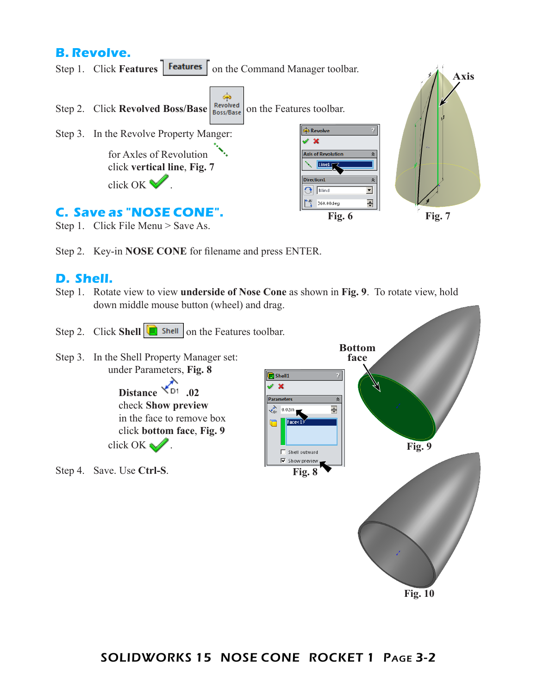## **B. Revolve.**



- Step 1. Click File Menu > Save As.
- Step 2. Key-in **NOSE CONE** for filename and press ENTER.

## **D. Shell.**

- Step 1. Rotate view to view **underside of Nose Cone** as shown in **Fig. 9**. To rotate view, hold down middle mouse button (wheel) and drag.
- Step 2. Click **Shell C** shell on the Features toolbar. **Bottom** Step 3. In the Shell Property Manager set: **face** under Parameters, **Fig. 8** Shell1 Ŋ  $\mathbb{X}$ **Distance \*D1** .02 Parameters  $\hat{z}$ check **Show preview**  $\frac{1}{\sqrt{D}}$  0.02in  $\frac{1}{|x|}$ in the face to remove box click **bottom face**, **Fig. 9** click OK  $\mathcal{N}$ . **Fig. 9** Shell outward **▽** Show preview Step 4. Save. Use **Ctrl-S**. **Fig. 8**

**Fig. 10**